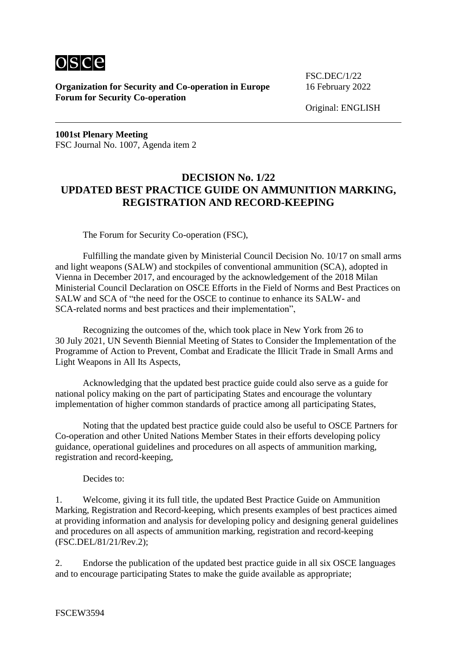

**Organization for Security and Co-operation in Europe** 16 February 2022 **Forum for Security Co-operation**

FSC.DEC/1/22

Original: ENGLISH

**1001st Plenary Meeting** FSC Journal No. 1007, Agenda item 2

## **DECISION No. 1/22 UPDATED BEST PRACTICE GUIDE ON AMMUNITION MARKING, REGISTRATION AND RECORD-KEEPING**

The Forum for Security Co-operation (FSC),

Fulfilling the mandate given by Ministerial Council Decision No. 10/17 on small arms and light weapons (SALW) and stockpiles of conventional ammunition (SCA), adopted in Vienna in December 2017, and encouraged by the acknowledgement of the 2018 Milan Ministerial Council Declaration on OSCE Efforts in the Field of Norms and Best Practices on SALW and SCA of "the need for the OSCE to continue to enhance its SALW- and SCA-related norms and best practices and their implementation",

Recognizing the outcomes of the, which took place in New York from 26 to 30 July 2021, UN Seventh Biennial Meeting of States to Consider the Implementation of the Programme of Action to Prevent, Combat and Eradicate the Illicit Trade in Small Arms and Light Weapons in All Its Aspects,

Acknowledging that the updated best practice guide could also serve as a guide for national policy making on the part of participating States and encourage the voluntary implementation of higher common standards of practice among all participating States,

Noting that the updated best practice guide could also be useful to OSCE Partners for Co-operation and other United Nations Member States in their efforts developing policy guidance, operational guidelines and procedures on all aspects of ammunition marking, registration and record-keeping,

Decides to:

1. Welcome, giving it its full title, the updated Best Practice Guide on Ammunition Marking, Registration and Record-keeping, which presents examples of best practices aimed at providing information and analysis for developing policy and designing general guidelines and procedures on all aspects of ammunition marking, registration and record-keeping (FSC.DEL/81/21/Rev.2);

2. Endorse the publication of the updated best practice guide in all six OSCE languages and to encourage participating States to make the guide available as appropriate;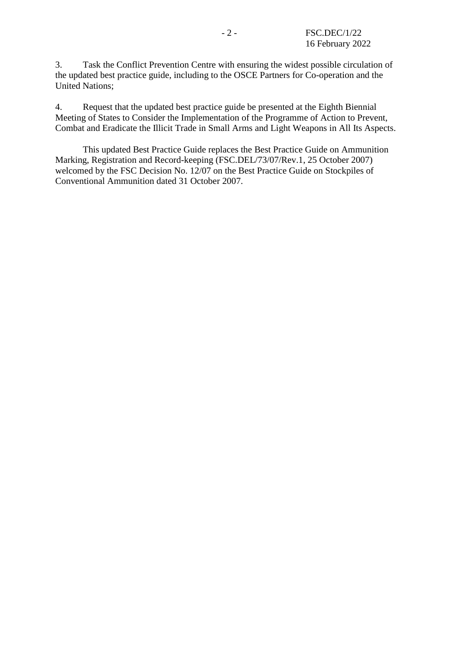3. Task the Conflict Prevention Centre with ensuring the widest possible circulation of the updated best practice guide, including to the OSCE Partners for Co-operation and the United Nations;

4. Request that the updated best practice guide be presented at the Eighth Biennial Meeting of States to Consider the Implementation of the Programme of Action to Prevent, Combat and Eradicate the Illicit Trade in Small Arms and Light Weapons in All Its Aspects.

This updated Best Practice Guide replaces the Best Practice Guide on Ammunition Marking, Registration and Record-keeping (FSC.DEL/73/07/Rev.1, 25 October 2007) welcomed by the FSC Decision No. 12/07 on the Best Practice Guide on Stockpiles of Conventional Ammunition dated 31 October 2007.